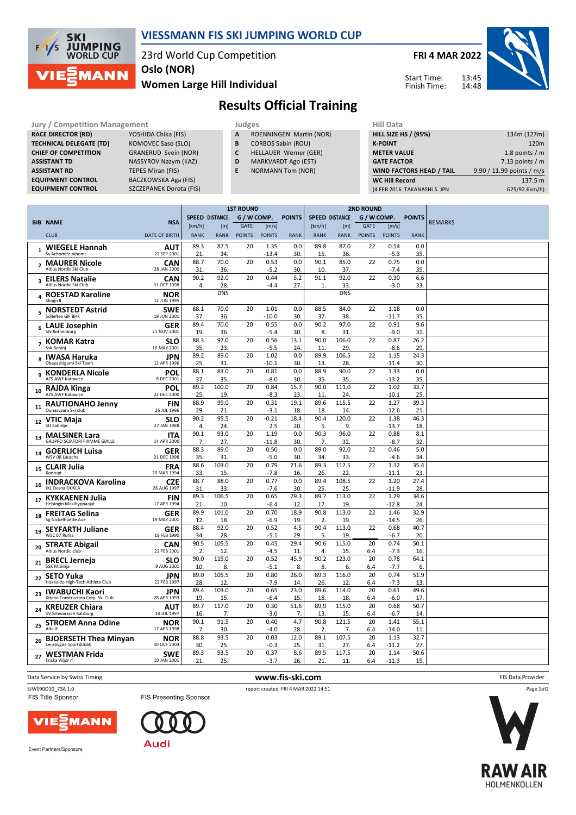

## **VIESSMANN FIS SKI JUMPING WORLD CUP**

23rd World Cup Competition

**Oslo (NOR)**

**Women Large Hill Individual**

**FRI 4 MAR 2022**

Start Time: Finish Time:



**Results Official Training**

| <b>Jury / Competition Management</b> |                                |    | Judges                         |  |                    |  |  |  |  |
|--------------------------------------|--------------------------------|----|--------------------------------|--|--------------------|--|--|--|--|
| <b>RACE DIRECTOR (RD)</b>            | YOSHIDA Chika (FIS)            | A  | <b>ROENNINGEN Martin (NOR)</b> |  | <b>HILL SIZE I</b> |  |  |  |  |
| <b>TECHNICAL DELEGATE (TD)</b>       | KOMOVEC Saso (SLO)             | B  | <b>CORBOS Sabin (ROU)</b>      |  | <b>K-POINT</b>     |  |  |  |  |
| <b>CHIEF OF COMPETITION</b>          | <b>GRANERUD Svein (NOR)</b>    |    | HELLAUER Werner (GER)          |  | <b>METER VA</b>    |  |  |  |  |
| <b>ASSISTANT TD</b>                  | NASSYROV Nazym (KAZ)           | D  | <b>MARKVARDT Ago (EST)</b>     |  | <b>GATE FACT</b>   |  |  |  |  |
| <b>ASSISTANT RD</b>                  | TEPES Miran (FIS)              | E. | <b>NORMANN Tom (NOR)</b>       |  | <b>WIND FAC</b>    |  |  |  |  |
| <b>EQUIPMENT CONTROL</b>             | BACZKOWSKA Aga (FIS)           |    |                                |  | <b>WC Hill Re</b>  |  |  |  |  |
| <b>EQUIPMENT CONTROL</b>             | <b>SZCZEPANEK Dorota (FIS)</b> |    |                                |  | (4 FEB 2016)       |  |  |  |  |

- **B** CORBOS Sabin (ROU)
- **C** HELLAUER Werner (GER)
- **D** MARKVARDT Ago (EST)
- **E** NORMANN Tom (NOR)

| niil Data                       |                           |
|---------------------------------|---------------------------|
| <b>HILL SIZE HS / (95%)</b>     | 134m (127m)               |
| <b>K-POINT</b>                  | 120 <sub>m</sub>          |
| <b>METER VALUE</b>              | 1.8 points $/m$           |
| <b>GATE FACTOR</b>              | 7.13 points $/m$          |
| <b>WIND FACTORS HEAD / TAIL</b> | 9.90 / 11.99 points / m/s |
| <b>WC Hill Record</b>           | 137.5 m                   |
| (4 FEB 2016 TAKANASHI S. JPN    | G25/92.6km/h)             |
|                                 |                           |

|                |                                                              |                           | <b>1ST ROUND</b> |                       |               |                   |                        | <b>2ND ROUND</b>       |              |               |                 |               |                |
|----------------|--------------------------------------------------------------|---------------------------|------------------|-----------------------|---------------|-------------------|------------------------|------------------------|--------------|---------------|-----------------|---------------|----------------|
|                | <b>BIB NAME</b>                                              | <b>NSA</b>                |                  | <b>SPEED DISTANCE</b> | G / W COMP.   |                   | <b>POINTS</b>          | <b>SPEED DISTANCE</b>  |              | G / W COMP.   |                 | <b>POINTS</b> | <b>REMARKS</b> |
|                |                                                              |                           | [km/h]           | [m]                   | GATE          | [m/s]             |                        | [km/h]                 | [m]          | <b>GATE</b>   | [m/s]           |               |                |
|                | <b>CLUB</b>                                                  | <b>DATE OF BIRTH</b>      | <b>RANK</b>      | <b>RANK</b>           | <b>POINTS</b> | <b>POINTS</b>     | <b>RANK</b>            | <b>RANK</b>            | <b>RANK</b>  | <b>POINTS</b> | <b>POINTS</b>   | <b>RANK</b>   |                |
| $\mathbf{1}$   | <b>WIEGELE Hannah</b><br>Sy Achomitz-zahomc                  | <b>AUT</b><br>22 SEP 2001 | 89.3<br>21.      | 87.5<br>34            | 20            | 1.35<br>$-13.4$   | 0.0<br>30              | 89.8<br>15.            | 87.0<br>36.  | 22            | 0.54<br>$-5.3$  | 0.0<br>35.    |                |
| $\mathbf{2}$   | <b>MAURER Nicole</b>                                         | <b>CAN</b>                | 88.7             | 70.0                  | 20            | 0.53              | 0.0                    | 90.1                   | 85.0         | 22            | 0.75            | 0.0           |                |
|                | Altius Nordic Ski Club                                       | 28 JAN 2000               | 31.<br>90.2      | 36.<br>92.0           | 20            | $-5.2$<br>0.44    | 30<br>5.2              | 10.<br>91.1            | 37.<br>92.0  | 22            | $-7.4$<br>0.30  | 35.<br>6.6    |                |
| 3              | <b>EILERS Natalie</b><br>Altius Nordic Ski Club              | <b>CAN</b><br>31 OCT 1998 | 4.               | 28.                   |               | $-4.4$            | 27.                    | $\mathbf{1}$           | 33           |               | $-3.0$          | 33.           |                |
| 4              | <b>ROESTAD Karoline</b><br>Skogn II                          | <b>NOR</b><br>12 JUN 1995 |                  | <b>DNS</b>            |               |                   |                        |                        | <b>DNS</b>   |               |                 |               |                |
| 5              | <b>NORSTEDT Astrid</b><br>Solleftea GIF BHK                  | <b>SWE</b><br>19 JUN 2001 | 88.1<br>37.      | 70.0<br>36.           | 20            | 1.01<br>-10.0     | 0.0<br>30              | 88.5<br>37.            | 84.0<br>38.  | 22            | 1.18<br>-11.7   | 0.0<br>35     |                |
| 6              | <b>LAUE Josephin</b><br><b>Sfv Rothenburg</b>                | <b>GER</b><br>21 NOV 2001 | 89.4<br>19.      | 70.0<br>36.           | 20            | 0.55<br>-5.4      | 0.0<br>30              | 90.2<br>8.             | 97.0<br>31   | 22            | 0.91<br>$-9.0$  | 9.6<br>31     |                |
| $\overline{7}$ | <b>KOMAR Katra</b><br>Ssk Bohinj                             | SLO<br>16 MAY 2001        | 88.3<br>35.      | 97.0<br>23            | 20            | 0.56<br>$-5.5$    | 13.1<br>24             | 90.0<br>11             | 106.0<br>29  | 22            | 0.87<br>$-8.6$  | 26.2<br>29.   |                |
| 8              | <b>IWASA Haruka</b><br>Obayashigumi Ski Team                 | JPN<br>12 APR 1996        | 89.2<br>25.      | 89.0<br>31.           | 20            | 1.02<br>$-10.1$   | 0.0<br>30              | 89.9<br>13.            | 106.5<br>28. | 22            | 1.15<br>$-11.4$ | 24.3<br>30.   |                |
| 9              | <b>KONDERLA Nicole</b><br>AZS AWF Katowice                   | POL<br>8 DEC 2001         | 88.1<br>37.      | 83.0<br>35.           | 20            | 0.81<br>$-8.0$    | 0.0<br>30              | 88.9<br>35.            | 90.0<br>35   | 22            | 1.33<br>$-13.2$ | 0.0<br>35.    |                |
| 10             | <b>RAJDA Kinga</b><br>AZS AWF Katowice                       | POL<br>22 DEC 2000        | 89.2<br>25.      | 100.0<br>19.          | 20            | 0.84<br>$-8.3$    | 15.7<br>23             | 90.0<br>11             | 111.0<br>24. | 22            | 1.02<br>$-10.1$ | 33.7<br>25.   |                |
| 11             | <b>RAUTIONAHO Jenny</b>                                      | FIN                       | 88.9             | 99.0                  | 20            | 0.31              | 19.1                   | 89.6                   | 115.5        | 22            | 1.27            | 39.3          |                |
|                | Ounasvaara Ski club<br><b>VTIC Maja</b>                      | 26 JUL 1996<br><b>SLO</b> | 29.<br>90.2      | 21.<br>95.5           | 20            | $-3.1$<br>$-0.21$ | 18<br>18.4             | 18<br>90.4             | 14<br>120.0  | 22            | $-12.6$<br>1.38 | 21<br>46.3    |                |
| 12             | SD Zabrdie                                                   | 27 JAN 1988               | 4.               | 24.                   |               | 2.5               | 20.                    | 5.                     | 9.           |               | $-13.7$         | 18.           |                |
| 13             | <b>MALSINER Lara</b><br><b>GRUPPO SCIATORI FIAMME GIALLE</b> | ITA<br>14 APR 2000        | 90.1<br>7.       | 93.0<br>27.           | 20            | 1.19<br>-11.8     | 0.0<br>30.             | 90.3<br>7.             | 96.0<br>32   | 22            | 0.88<br>$-8.7$  | 8.1<br>32.    |                |
| 14             | <b>GOERLICH Luisa</b>                                        | <b>GER</b>                | 88.3             | 89.0                  | 20            | 0.50              | 0.0                    | 89.0                   | 92.0         | 22            | 0.46            | 5.0           |                |
|                | WSV 08 Lauscha                                               | 21 DEC 1998               | 35.<br>88.6      | 31.<br>103.0          | 20            | $-5.0$<br>0.79    | 30<br>21.6             | 34.<br>89.3            | 33<br>112.5  | 22            | $-4.6$<br>1.12  | 34.<br>35.4   |                |
| 15             | <b>CLAIR Julia</b><br>Xonrupt                                | <b>FRA</b><br>20 MAR 1994 | 33.              | 15                    |               | $-7.8$            | 16                     | 26                     | 22           |               | $-11.1$         | 23.           |                |
| 16             | <b>INDRACKOVA Karolina</b><br><b>JKL Desna-DUKLA</b>         | <b>CZE</b><br>26 AUG 1997 | 88.7<br>31.      | 88.0<br>33            | 20            | 0.77<br>$-7.6$    | 0.0<br>30              | 89.4<br>25             | 108.5<br>25  | 22            | 1.20<br>$-11.9$ | 27.4<br>28.   |                |
| 17             | <b>KYKKAENEN Julia</b><br>Helsingin Makihyppaajat            | <b>FIN</b><br>17 APR 1994 | 89.3<br>21.      | 106.5<br>10           | 20            | 0.65<br>-6.4      | 29.3<br>12             | 89.7<br>17             | 113.0<br>19  | 22            | 1.29<br>$-12.8$ | 34.6<br>24.   |                |
| 18             | <b>FREITAG Selina</b>                                        | <b>GER</b>                | 89.9             | 101.0                 | 20            | 0.70              | 18.9                   | 90.8                   | 113.0        | 22            | 1.46            | 32.9          |                |
|                | Sg Nickelhuette Aue                                          | 19 MAY 2001               | 12               | 18.                   |               | $-6.9$            | 19                     | 2                      | 19           |               | $-14.5$         | 26.           |                |
| 19             | <b>SEYFARTH Juliane</b><br>WSC 07 Ruhla                      | <b>GER</b><br>19 FEB 1990 | 88.4<br>34.      | 92.0<br>28.           | 20            | 0.52<br>$-5.1$    | 4.5<br>29.             | 90.4<br>5.             | 113.0<br>19  | 22            | 0.68<br>$-6.7$  | 40.7<br>20.   |                |
| 20             | <b>STRATE Abigail</b><br>Altius Nordic club                  | <b>CAN</b><br>22 FEB 2001 | 90.5<br>2.       | 105.5<br>12.          | 20            | 0.45<br>$-4.5$    | 29.4<br>11             | 90.6<br>$\overline{4}$ | 115.0<br>15. | 20<br>6.4     | 0.74<br>$-7.3$  | 50.1<br>16.   |                |
| 21             | <b>BRECL Jerneja</b><br><b>SSK Mislinja</b>                  | SLO<br>9 AUG 2001         | 90.0<br>10       | 115.0<br>8.           | 20            | 0.52<br>$-5.1$    | 45.9<br>8.             | 90.2<br>8.             | 123.0<br>6.  | 20<br>6.4     | 0.78<br>$-7.7$  | 64.1<br>6.    |                |
| 22             | <b>SETO Yuka</b><br>Hokkaido High-Tech Athlete Club          | <b>JPN</b><br>22 FEB 1997 | 89.0<br>28.      | 105.5<br>12.          | 20            | 0.80<br>$-7.9$    | 26.0<br>14             | 89.3<br>26.            | 116.0<br>12  | 20<br>6.4     | 0.74<br>$-7.3$  | 51.9<br>13    |                |
| 23             | <b>IWABUCHI Kaori</b>                                        | JPN                       | 89.4             | 103.0                 | 20            | 0.65              | 23.0                   | 89.6                   | 114.0        | 20            | 0.61            | 49.6          |                |
|                | Kitano Construction Corp. Ski Club                           | 28 APR 1993               | 19.              | 15.                   |               | $-6.4$            | 15.                    | 18.                    | 18.          | 6.4           | $-6.0$          | 17.           |                |
| 24             | <b>KREUZER Chiara</b><br>SV Schwarzach-Salzburg              | <b>AUT</b><br>18 JUL 1997 | 89.7<br>16.      | 117.0<br>7.           | 20            | 0.30<br>$-3.0$    | 51.6<br>$\overline{7}$ | 89.9<br>13             | 115.0<br>15  | 20<br>6.4     | 0.68<br>$-6.7$  | 50.7<br>14    |                |
| 25             | <b>STROEM Anna Odine</b><br>Alta If                          | <b>NOR</b><br>17 APR 1998 | 90.1<br>7.       | 91.5<br>30.           | 20            | 0.40<br>-4.0      | 4.7<br>28.             | 90.8<br>2              | 121.5<br>7.  | 20<br>6.4     | 1.41<br>$-14.0$ | 55.1<br>11    |                |
| 26             | <b>BJOERSETH Thea Minyan</b><br>Lensbygda Sportsklubb        | <b>NOR</b><br>30 OCT 2003 | 88.8<br>30.      | 93.5<br>25.           | 20            | 0.03<br>$-0.3$    | 12.0<br>25             | 89.1<br>31             | 107.5<br>27  | 20<br>6.4     | 1.13<br>$-11.2$ | 32.7<br>27.   |                |
| 27             | <b>WESTMAN Frida</b>                                         | <b>SWE</b>                | 89.3             | 93.5                  | 20            | 0.37              | 8.6                    | 89.5                   | 117.5        | 20            | 1.14            | 50.6          |                |
|                | Friska Viljor if                                             | 10 JAN 2001               | 21.              | 25.                   |               | $-3.7$            | 26.                    | 21.                    | 11.          | 6.4           | $-11.3$         | 15.           |                |

**Data Service by Swiss Timing** FIS Data Provider

MANN

VIE



Event Partners/Sponsors



Page 1of2